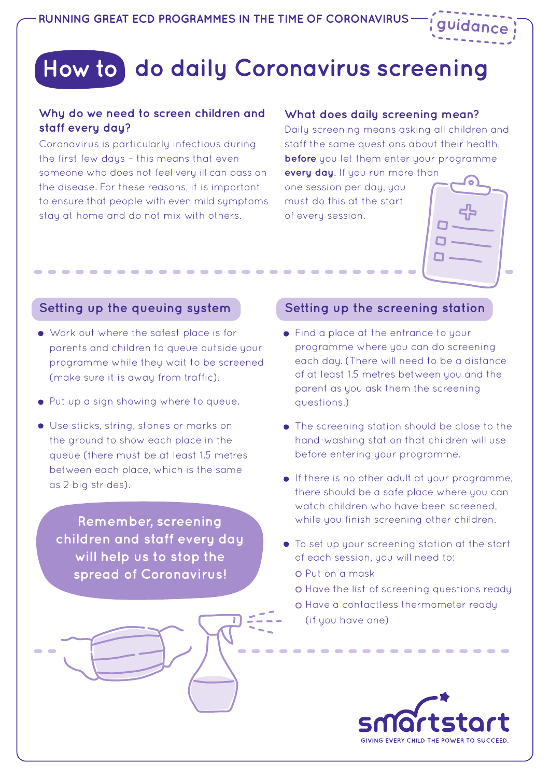# **Howto do daily Coronavirus screening**

### **Why do we need to screen children and staff every day?**

Coronavirus is particularly infectious during the first few days – this means that even someone who does not feel very ill can pass on the disease. For these reasons, it is important to ensure that people with even mild symptoms stay at home and do not mix with others.

#### **What does daily screening mean?**

Daily screening means asking all children and staff the same questions about their health, **before** you let them enter your programme

**every day**. If you run more than one session per day, you must do this at the start of every session.



**guidance**

## **Setting up the queuing system**

- Work out where the safest place is for parents and children to queue outside your programme while they wait to be screened (make sure it is away from traffic).
- Put up a sign showing where to queue.
- Use sticks, string, stones or marks on the ground to show each place in the queue (there must be at least 1.5 metres between each place, which is the same as 2 big strides).

**Remember, screening children and staff every day will help us to stop the spread of Coronavirus!**



## **Setting up the screening station**

- Find a place at the entrance to your programme where you can do screening each day. (There will need to be a distance of at least 1.5 metres between you and the parent as you ask them the screening questions.)
- The screening station should be close to the hand-washing station that children will use before entering your programme.
- If there is no other adult at your programme, there should be a safe place where you can watch children who have been screened, while you finish screening other children.
- To set up your screening station at the start of each session, you will need to:
	- Put on a mask
	- O Have the list of screening questions ready
	- o Have a contactless thermometer ready (if you have one)